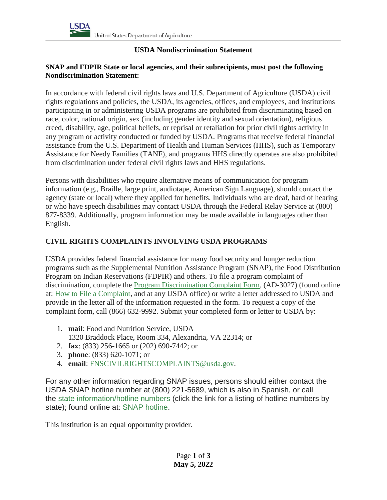### **USDA Nondiscrimination Statement**

### **SNAP and FDPIR State or local agencies, and their subrecipients, must post the following Nondiscrimination Statement:**

In accordance with federal civil rights laws and U.S. Department of Agriculture (USDA) civil rights regulations and policies, the USDA, its agencies, offices, and employees, and institutions participating in or administering USDA programs are prohibited from discriminating based on race, color, national origin, sex (including gender identity and sexual orientation), religious creed, disability, age, political beliefs, or reprisal or retaliation for prior civil rights activity in any program or activity conducted or funded by USDA. Programs that receive federal financial assistance from the U.S. Department of Health and Human Services (HHS), such as Temporary Assistance for Needy Families (TANF), and programs HHS directly operates are also prohibited from discrimination under federal civil rights laws and HHS regulations.

Persons with disabilities who require alternative means of communication for program information (e.g., Braille, large print, audiotape, American Sign Language), should contact the agency (state or local) where they applied for benefits. Individuals who are deaf, hard of hearing or who have speech disabilities may contact USDA through the Federal Relay Service at (800) 877-8339. Additionally, program information may be made available in languages other than English.

## **CIVIL RIGHTS COMPLAINTS INVOLVING USDA PROGRAMS**

USDA provides federal financial assistance for many food security and hunger reduction programs such as the Supplemental Nutrition Assistance Program (SNAP), the Food Distribution Program on Indian Reservations (FDPIR) and others. To file a program complaint of discrimination, complete the [Program Discrimination Complaint Form,](https://www.usda.gov/sites/default/files/documents/USDA-OASCR%20P-Complaint-Form-0508-0002-508-11-28-17Fax2Mail.pdf) (AD-3027) (found online at: [How to File a Complaint,](https://www.usda.gov/sites/default/files/documents/USDA-OASCR%20P-Complaint-Form-0508-0002-508-11-28-17Fax2Mail.pdf) and at any USDA office) or write a letter addressed to USDA and provide in the letter all of the information requested in the form. To request a copy of the complaint form, call (866) 632-9992. Submit your completed form or letter to USDA by:

- 1. **mail**: Food and Nutrition Service, USDA 1320 Braddock Place, Room 334, Alexandria, VA 22314; or
- 2. **fax**: (833) 256-1665 or (202) 690-7442; or
- 3. **phone**: (833) 620-1071; or
- 4. **email**: [FNSCIVILRIGHTSCOMPLAINTS@usda.gov.](http://mailto:FNSCIVILRIGHTSCOMPLAINTS@usda.gov/)

For any other information regarding SNAP issues, persons should either contact the USDA SNAP hotline number at (800) 221-5689, which is also in Spanish, or call the [state information/hotline numbers](https://www.fns.usda.gov/snap/state-directory) (click the link for a listing of hotline numbers by state); found online at: [SNAP hotline.](https://www.fns.usda.gov/snap/state-directory)

This institution is an equal opportunity provider.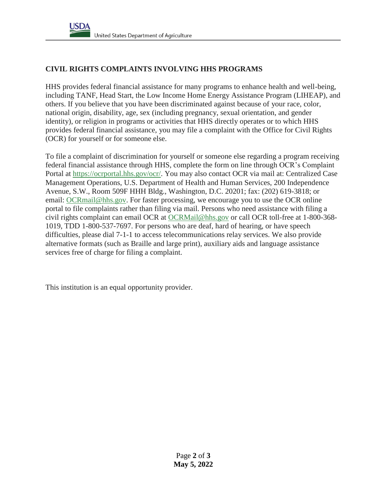# **CIVIL RIGHTS COMPLAINTS INVOLVING HHS PROGRAMS**

HHS provides federal financial assistance for many programs to enhance health and well-being, including TANF, Head Start, the Low Income Home Energy Assistance Program (LIHEAP), and others. If you believe that you have been discriminated against because of your race, color, national origin, disability, age, sex (including pregnancy, sexual orientation, and gender identity), or religion in programs or activities that HHS directly operates or to which HHS provides federal financial assistance, you may file a complaint with the Office for Civil Rights (OCR) for yourself or for someone else.

To file a complaint of discrimination for yourself or someone else regarding a program receiving federal financial assistance through HHS, complete the form on line through OCR's Complaint Portal at [https://ocrportal.hhs.gov/ocr/.](https://ocrportal.hhs.gov/ocr/) You may also contact OCR via mail at: Centralized Case Management Operations, U.S. Department of Health and Human Services, 200 Independence Avenue, S.W., Room 509F HHH Bldg., Washington, D.C. 20201; fax: (202) 619-3818; or email: [OCRmail@hhs.gov.](http://mailto:OCRmail@hhs.gov/) For faster processing, we encourage you to use the OCR online portal to file complaints rather than filing via mail. Persons who need assistance with filing a civil rights complaint can email OCR at [OCRMail@hhs.gov](http://mailto:OCRmail@hhs.gov/) or call OCR toll-free at 1-800-368- 1019, TDD 1-800-537-7697. For persons who are deaf, hard of hearing, or have speech difficulties, please dial 7-1-1 to access telecommunications relay services. We also provide alternative formats (such as Braille and large print), auxiliary aids and language assistance services free of charge for filing a complaint.

This institution is an equal opportunity provider.